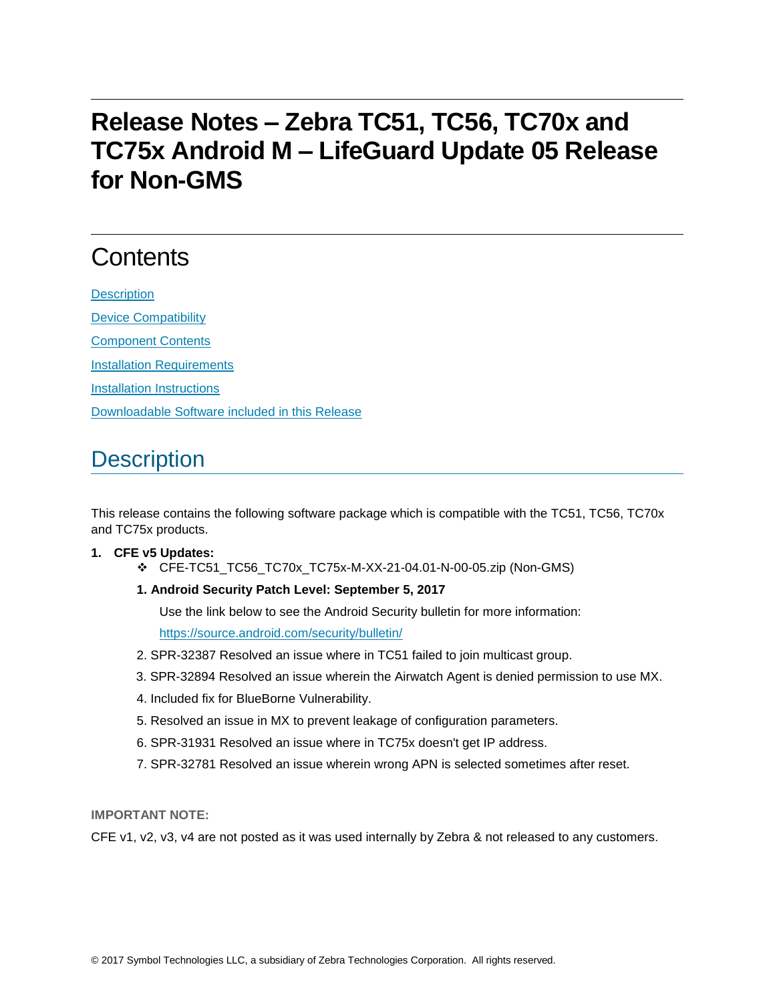# **Release Notes – Zebra TC51, TC56, TC70x and TC75x Android M – LifeGuard Update 05 Release for Non-GMS**

# **Contents**

**[Description](#page-0-0)** [Device Compatibility](#page-1-0) [Component Contents](#page-1-1) [Installation Requirements](#page-2-0) [Installation Instructions](#page-2-1) [Downloadable Software included in this Release](#page-3-0)

## <span id="page-0-0"></span>**Description**

This release contains the following software package which is compatible with the TC51, TC56, TC70x and TC75x products.

#### **1. CFE v5 Updates:**

- ❖ CFE-TC51\_TC56\_TC70x\_TC75x-M-XX-21-04.01-N-00-05.zip (Non-GMS)
- **1. Android Security Patch Level: September 5, 2017**

Use the link below to see the Android Security bulletin for more information:

<https://source.android.com/security/bulletin/>

- 2. SPR-32387 Resolved an issue where in TC51 failed to join multicast group.
- 3. SPR-32894 Resolved an issue wherein the Airwatch Agent is denied permission to use MX.
- 4. Included fix for BlueBorne Vulnerability.
- 5. Resolved an issue in MX to prevent leakage of configuration parameters.
- 6. SPR-31931 Resolved an issue where in TC75x doesn't get IP address.
- 7. SPR-32781 Resolved an issue wherein wrong APN is selected sometimes after reset.

**IMPORTANT NOTE:**

CFE v1, v2, v3, v4 are not posted as it was used internally by Zebra & not released to any customers.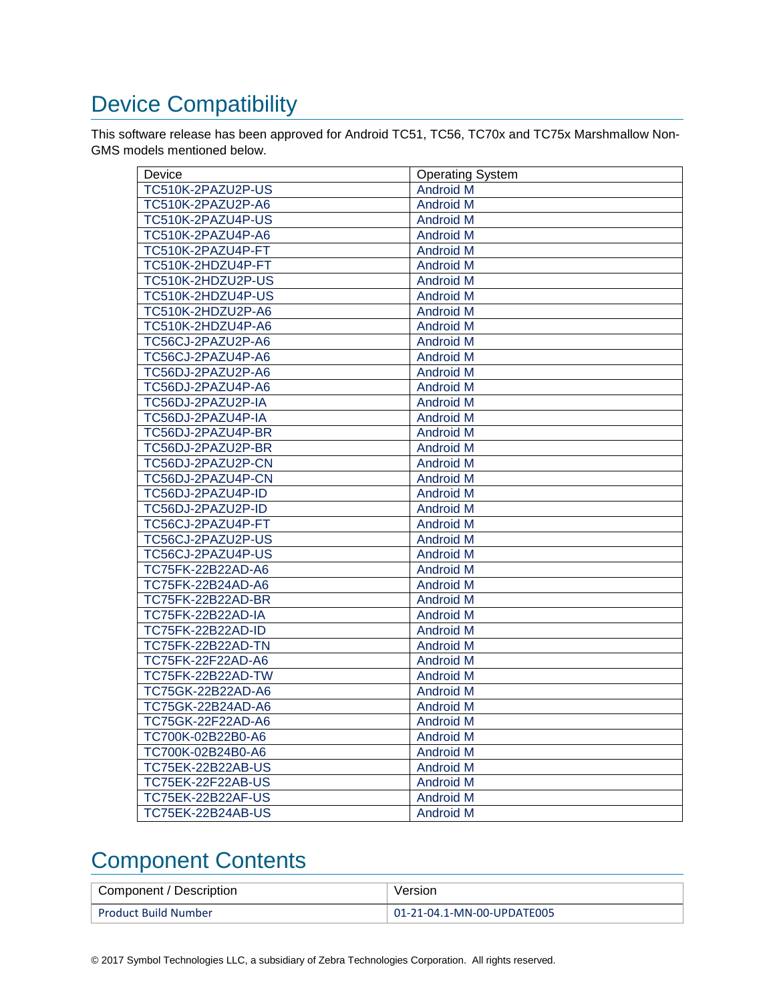# <span id="page-1-0"></span>Device Compatibility

This software release has been approved for Android TC51, TC56, TC70x and TC75x Marshmallow Non-GMS models mentioned below.

| Device                   | <b>Operating System</b> |
|--------------------------|-------------------------|
| TC510K-2PAZU2P-US        | <b>Android M</b>        |
| TC510K-2PAZU2P-A6        | <b>Android M</b>        |
| TC510K-2PAZU4P-US        | <b>Android M</b>        |
| TC510K-2PAZU4P-A6        | <b>Android M</b>        |
| TC510K-2PAZU4P-FT        | <b>Android M</b>        |
| TC510K-2HDZU4P-FT        | <b>Android M</b>        |
| TC510K-2HDZU2P-US        | <b>Android M</b>        |
| TC510K-2HDZU4P-US        | <b>Android M</b>        |
| TC510K-2HDZU2P-A6        | <b>Android M</b>        |
| TC510K-2HDZU4P-A6        | <b>Android M</b>        |
| TC56CJ-2PAZU2P-A6        | <b>Android M</b>        |
| TC56CJ-2PAZU4P-A6        | <b>Android M</b>        |
| TC56DJ-2PAZU2P-A6        | <b>Android M</b>        |
| TC56DJ-2PAZU4P-A6        | <b>Android M</b>        |
| TC56DJ-2PAZU2P-IA        | <b>Android M</b>        |
| TC56DJ-2PAZU4P-IA        | <b>Android M</b>        |
| TC56DJ-2PAZU4P-BR        | <b>Android M</b>        |
| TC56DJ-2PAZU2P-BR        | <b>Android M</b>        |
| TC56DJ-2PAZU2P-CN        | <b>Android M</b>        |
| TC56DJ-2PAZU4P-CN        | <b>Android M</b>        |
| TC56DJ-2PAZU4P-ID        | <b>Android M</b>        |
| TC56DJ-2PAZU2P-ID        | <b>Android M</b>        |
| TC56CJ-2PAZU4P-FT        | <b>Android M</b>        |
| TC56CJ-2PAZU2P-US        | <b>Android M</b>        |
| TC56CJ-2PAZU4P-US        | <b>Android M</b>        |
| TC75FK-22B22AD-A6        | <b>Android M</b>        |
| TC75FK-22B24AD-A6        | <b>Android M</b>        |
| TC75FK-22B22AD-BR        | <b>Android M</b>        |
| <b>TC75FK-22B22AD-IA</b> | Android M               |
| TC75FK-22B22AD-ID        | <b>Android M</b>        |
| <b>TC75FK-22B22AD-TN</b> | <b>Android M</b>        |
| TC75FK-22F22AD-A6        | <b>Android M</b>        |
| <b>TC75FK-22B22AD-TW</b> | <b>Android M</b>        |
| TC75GK-22B22AD-A6        | <b>Android M</b>        |
| TC75GK-22B24AD-A6        | <b>Android M</b>        |
| TC75GK-22F22AD-A6        | <b>Android M</b>        |
| TC700K-02B22B0-A6        | <b>Android M</b>        |
| TC700K-02B24B0-A6        | <b>Android M</b>        |
| TC75EK-22B22AB-US        | <b>Android M</b>        |
| <b>TC75EK-22F22AB-US</b> | <b>Android M</b>        |
| <b>TC75EK-22B22AF-US</b> | <b>Android M</b>        |
| <b>TC75EK-22B24AB-US</b> | <b>Android M</b>        |

### <span id="page-1-1"></span>Component Contents

| Component / Description     | Version                    |
|-----------------------------|----------------------------|
| <b>Product Build Number</b> | 01-21-04.1-MN-00-UPDATE005 |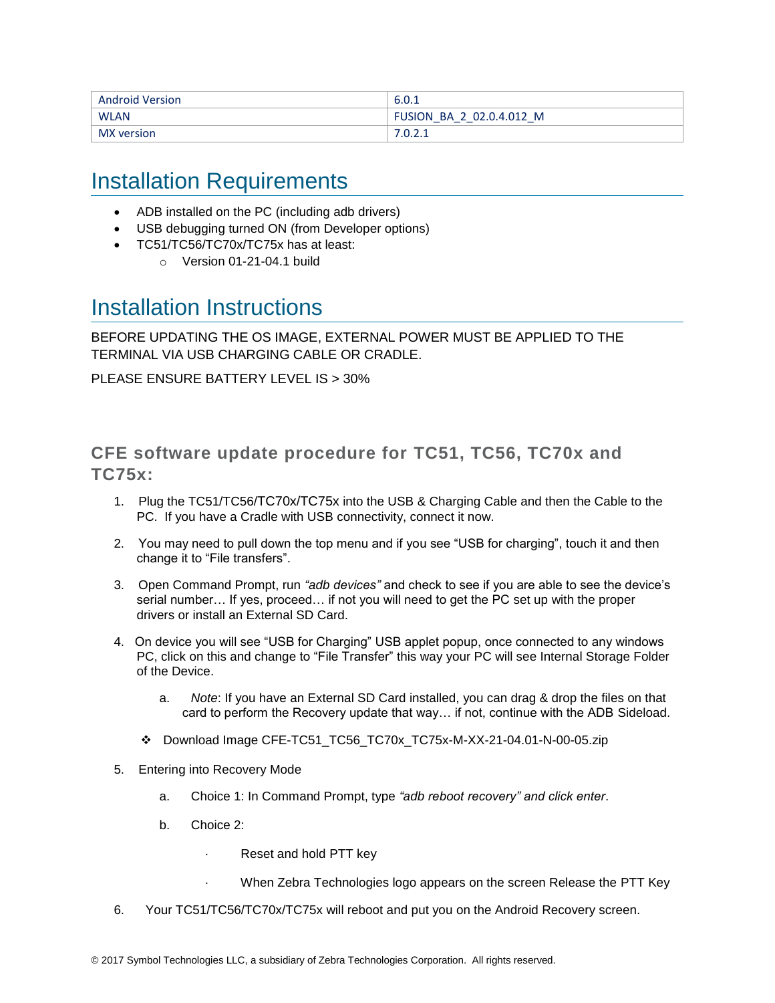| <b>Android Version</b> | 6.0.1                    |
|------------------------|--------------------------|
| <b>WLAN</b>            | FUSION BA 2 02.0.4.012 M |
| MX version             | .                        |

#### <span id="page-2-0"></span>Installation Requirements

- ADB installed on the PC (including adb drivers)
- USB debugging turned ON (from Developer options)
- TC51/TC56/TC70x/TC75x has at least:
	- $\circ$  Version 01-21-04.1 build

#### <span id="page-2-1"></span>Installation Instructions

BEFORE UPDATING THE OS IMAGE, EXTERNAL POWER MUST BE APPLIED TO THE TERMINAL VIA USB CHARGING CABLE OR CRADLE.

PLEASE ENSURE BATTERY LEVEL IS > 30%

#### CFE software update procedure for TC51, TC56, TC70x and TC75x:

- 1. Plug the TC51/TC56/TC70x/TC75x into the USB & Charging Cable and then the Cable to the PC. If you have a Cradle with USB connectivity, connect it now.
- 2. You may need to pull down the top menu and if you see "USB for charging", touch it and then change it to "File transfers".
- 3. Open Command Prompt, run *"adb devices"* and check to see if you are able to see the device's serial number… If yes, proceed… if not you will need to get the PC set up with the proper drivers or install an External SD Card.
- 4. On device you will see "USB for Charging" USB applet popup, once connected to any windows PC, click on this and change to "File Transfer" this way your PC will see Internal Storage Folder of the Device.
	- a. *Note*: If you have an External SD Card installed, you can drag & drop the files on that card to perform the Recovery update that way… if not, continue with the ADB Sideload.
	- ❖ Download Image CFE-TC51\_TC56\_TC70x\_TC75x-M-XX-21-04.01-N-00-05.zip
- 5. Entering into Recovery Mode
	- a. Choice 1: In Command Prompt, type *"adb reboot recovery" and click enter*.
	- b. Choice 2:
		- Reset and hold PTT key
		- · When Zebra Technologies logo appears on the screen Release the PTT Key
- 6. Your TC51/TC56/TC70x/TC75x will reboot and put you on the Android Recovery screen.